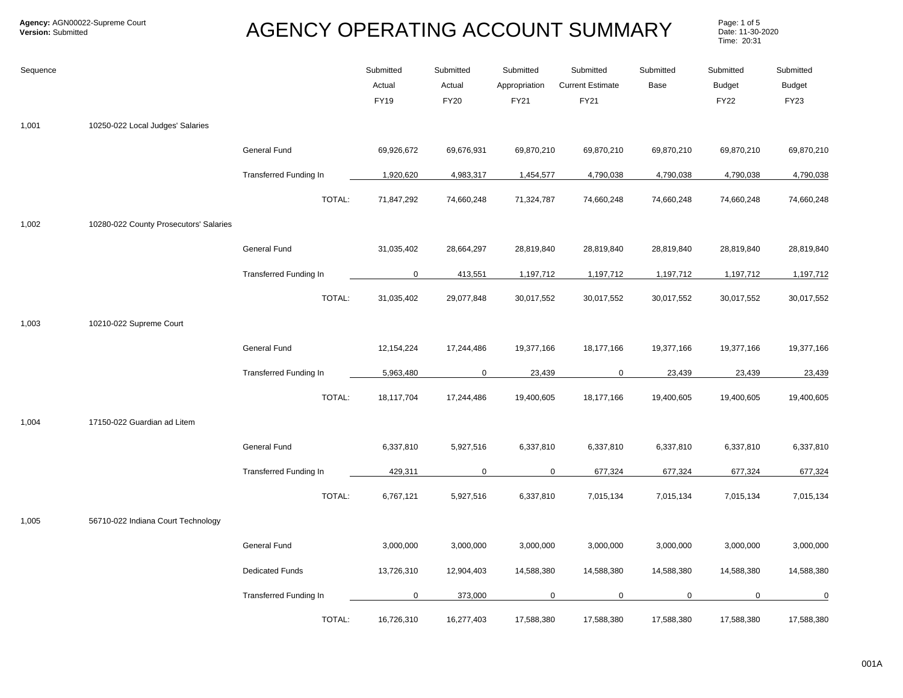Page: 1 of 5<br>Date: 11-30-2020 Time: 20:31

| Sequence |                                        |                               | Submitted<br>Actual<br><b>FY19</b> | Submitted<br>Actual<br><b>FY20</b> | Submitted<br>Appropriation<br>FY21 | Submitted<br><b>Current Estimate</b><br><b>FY21</b> | Submitted<br>Base | Submitted<br><b>Budget</b><br><b>FY22</b> | Submitted<br><b>Budget</b><br><b>FY23</b> |
|----------|----------------------------------------|-------------------------------|------------------------------------|------------------------------------|------------------------------------|-----------------------------------------------------|-------------------|-------------------------------------------|-------------------------------------------|
| 1,001    | 10250-022 Local Judges' Salaries       |                               |                                    |                                    |                                    |                                                     |                   |                                           |                                           |
|          |                                        | General Fund                  | 69,926,672                         | 69,676,931                         | 69,870,210                         | 69,870,210                                          | 69,870,210        | 69,870,210                                | 69,870,210                                |
|          |                                        | <b>Transferred Funding In</b> | 1,920,620                          | 4,983,317                          | 1,454,577                          | 4,790,038                                           | 4,790,038         | 4,790,038                                 | 4,790,038                                 |
|          |                                        | TOTAL:                        | 71,847,292                         | 74,660,248                         | 71,324,787                         | 74,660,248                                          | 74,660,248        | 74,660,248                                | 74,660,248                                |
| 1,002    | 10280-022 County Prosecutors' Salaries |                               |                                    |                                    |                                    |                                                     |                   |                                           |                                           |
|          |                                        | General Fund                  | 31,035,402                         | 28,664,297                         | 28,819,840                         | 28,819,840                                          | 28,819,840        | 28,819,840                                | 28,819,840                                |
|          |                                        | Transferred Funding In        | $\mathbf 0$                        | 413,551                            | 1,197,712                          | 1,197,712                                           | 1,197,712         | 1,197,712                                 | 1,197,712                                 |
|          |                                        | TOTAL:                        | 31,035,402                         | 29,077,848                         | 30,017,552                         | 30,017,552                                          | 30,017,552        | 30,017,552                                | 30,017,552                                |
| 1,003    | 10210-022 Supreme Court                |                               |                                    |                                    |                                    |                                                     |                   |                                           |                                           |
|          |                                        | General Fund                  | 12,154,224                         | 17,244,486                         | 19,377,166                         | 18,177,166                                          | 19,377,166        | 19,377,166                                | 19,377,166                                |
|          |                                        | <b>Transferred Funding In</b> | 5,963,480                          | $\mathbf 0$                        | 23,439                             | $\mathbf 0$                                         | 23,439            | 23,439                                    | 23,439                                    |
|          |                                        | TOTAL:                        | 18,117,704                         | 17,244,486                         | 19,400,605                         | 18,177,166                                          | 19,400,605        | 19,400,605                                | 19,400,605                                |
| 1,004    | 17150-022 Guardian ad Litem            |                               |                                    |                                    |                                    |                                                     |                   |                                           |                                           |
|          |                                        | General Fund                  | 6,337,810                          | 5,927,516                          | 6,337,810                          | 6,337,810                                           | 6,337,810         | 6,337,810                                 | 6,337,810                                 |
|          |                                        | <b>Transferred Funding In</b> | 429,311                            | $\mathbf 0$                        | $\mathbf 0$                        | 677,324                                             | 677,324           | 677,324                                   | 677,324                                   |
|          |                                        | TOTAL:                        | 6,767,121                          | 5,927,516                          | 6,337,810                          | 7,015,134                                           | 7,015,134         | 7,015,134                                 | 7,015,134                                 |
| 1,005    | 56710-022 Indiana Court Technology     |                               |                                    |                                    |                                    |                                                     |                   |                                           |                                           |
|          |                                        | General Fund                  | 3,000,000                          | 3,000,000                          | 3,000,000                          | 3,000,000                                           | 3,000,000         | 3,000,000                                 | 3,000,000                                 |
|          |                                        | <b>Dedicated Funds</b>        | 13,726,310                         | 12,904,403                         | 14,588,380                         | 14,588,380                                          | 14,588,380        | 14,588,380                                | 14,588,380                                |
|          |                                        | <b>Transferred Funding In</b> | $\mathbf 0$                        | 373,000                            | $\mathbf 0$                        | $\mathbf 0$                                         | $\mathbf 0$       | 0                                         | 0                                         |
|          |                                        | TOTAL:                        | 16,726,310                         | 16,277,403                         | 17,588,380                         | 17,588,380                                          | 17,588,380        | 17,588,380                                | 17,588,380                                |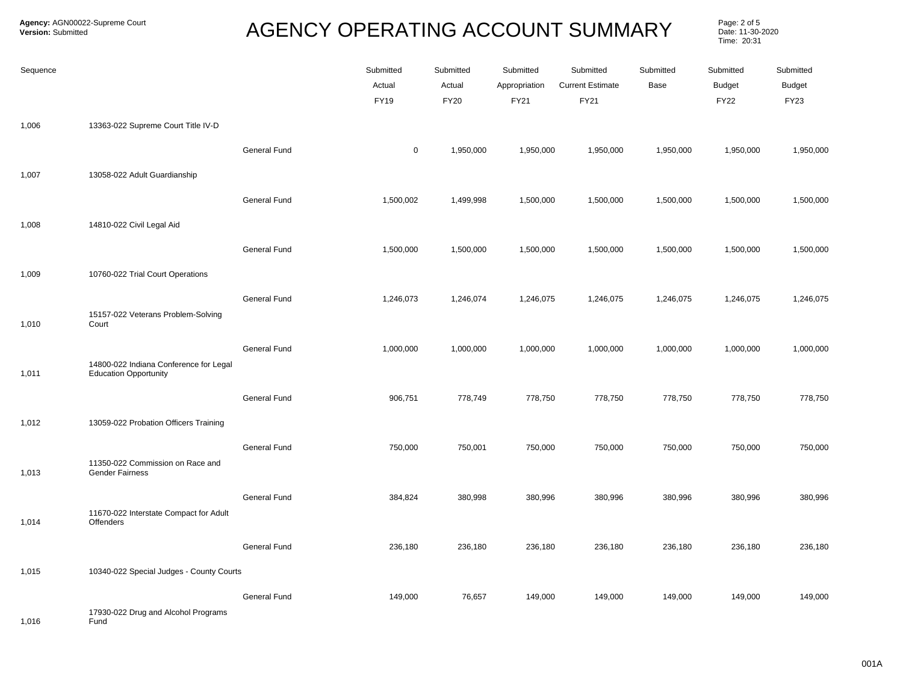Page: 2 of 5<br>Date: 11-30-2020 Time: 20:31

| Sequence |                                                                        |              | Submitted<br>Actual<br>FY19 | Submitted<br>Actual<br><b>FY20</b> | Submitted<br>Appropriation<br>FY21 | Submitted<br><b>Current Estimate</b><br><b>FY21</b> | Submitted<br>Base | Submitted<br><b>Budget</b><br><b>FY22</b> | Submitted<br><b>Budget</b><br>FY23 |
|----------|------------------------------------------------------------------------|--------------|-----------------------------|------------------------------------|------------------------------------|-----------------------------------------------------|-------------------|-------------------------------------------|------------------------------------|
| 1,006    | 13363-022 Supreme Court Title IV-D                                     |              |                             |                                    |                                    |                                                     |                   |                                           |                                    |
|          |                                                                        | General Fund | 0                           | 1,950,000                          | 1,950,000                          | 1,950,000                                           | 1,950,000         | 1,950,000                                 | 1,950,000                          |
| 1,007    | 13058-022 Adult Guardianship                                           |              |                             |                                    |                                    |                                                     |                   |                                           |                                    |
|          |                                                                        | General Fund | 1,500,002                   | 1,499,998                          | 1,500,000                          | 1,500,000                                           | 1,500,000         | 1,500,000                                 | 1,500,000                          |
| 1,008    | 14810-022 Civil Legal Aid                                              |              |                             |                                    |                                    |                                                     |                   |                                           |                                    |
|          |                                                                        | General Fund | 1,500,000                   | 1,500,000                          | 1,500,000                          | 1,500,000                                           | 1,500,000         | 1,500,000                                 | 1,500,000                          |
| 1,009    | 10760-022 Trial Court Operations                                       |              |                             |                                    |                                    |                                                     |                   |                                           |                                    |
| 1,010    | 15157-022 Veterans Problem-Solving<br>Court                            | General Fund | 1,246,073                   | 1,246,074                          | 1,246,075                          | 1,246,075                                           | 1,246,075         | 1,246,075                                 | 1,246,075                          |
|          |                                                                        | General Fund | 1,000,000                   | 1,000,000                          | 1,000,000                          | 1,000,000                                           | 1,000,000         | 1,000,000                                 | 1,000,000                          |
| 1,011    | 14800-022 Indiana Conference for Legal<br><b>Education Opportunity</b> |              |                             |                                    |                                    |                                                     |                   |                                           |                                    |
|          |                                                                        | General Fund | 906,751                     | 778,749                            | 778,750                            | 778,750                                             | 778,750           | 778,750                                   | 778,750                            |
| 1,012    | 13059-022 Probation Officers Training                                  |              |                             |                                    |                                    |                                                     |                   |                                           |                                    |
| 1,013    | 11350-022 Commission on Race and<br><b>Gender Fairness</b>             | General Fund | 750,000                     | 750,001                            | 750,000                            | 750,000                                             | 750,000           | 750,000                                   | 750,000                            |
|          |                                                                        | General Fund | 384,824                     | 380,998                            | 380,996                            | 380,996                                             | 380,996           | 380,996                                   | 380,996                            |
| 1,014    | 11670-022 Interstate Compact for Adult<br>Offenders                    |              |                             |                                    |                                    |                                                     |                   |                                           |                                    |
|          |                                                                        | General Fund | 236,180                     | 236,180                            | 236,180                            | 236,180                                             | 236,180           | 236,180                                   | 236,180                            |
| 1,015    | 10340-022 Special Judges - County Courts                               |              |                             |                                    |                                    |                                                     |                   |                                           |                                    |
| 1,016    | 17930-022 Drug and Alcohol Programs<br>Fund                            | General Fund | 149,000                     | 76,657                             | 149,000                            | 149,000                                             | 149,000           | 149,000                                   | 149,000                            |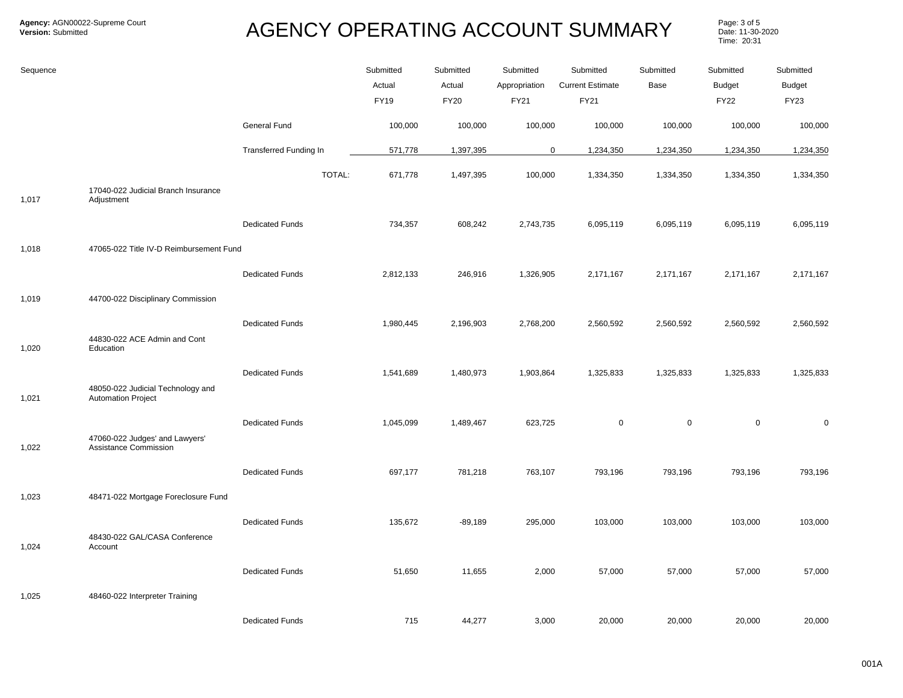Page: 3 of 5<br>Date: 11-30-2020 Time: 20:31

| Sequence |                                                                |                               | Submitted<br>Actual<br><b>FY19</b> | Submitted<br>Actual<br><b>FY20</b> | Submitted<br>Appropriation<br>FY21 | Submitted<br><b>Current Estimate</b><br>FY21 | Submitted<br>Base | Submitted<br>Budget<br><b>FY22</b> | Submitted<br><b>Budget</b><br><b>FY23</b> |
|----------|----------------------------------------------------------------|-------------------------------|------------------------------------|------------------------------------|------------------------------------|----------------------------------------------|-------------------|------------------------------------|-------------------------------------------|
|          |                                                                | General Fund                  | 100,000                            | 100,000                            | 100,000                            | 100,000                                      | 100,000           | 100,000                            | 100,000                                   |
|          |                                                                | <b>Transferred Funding In</b> | 571,778                            | 1,397,395                          | $\mathbf 0$                        | 1,234,350                                    | 1,234,350         | 1,234,350                          | 1,234,350                                 |
| 1,017    | 17040-022 Judicial Branch Insurance<br>Adjustment              | TOTAL:                        | 671,778                            | 1,497,395                          | 100,000                            | 1,334,350                                    | 1,334,350         | 1,334,350                          | 1,334,350                                 |
|          |                                                                | <b>Dedicated Funds</b>        | 734,357                            | 608,242                            | 2,743,735                          | 6,095,119                                    | 6,095,119         | 6,095,119                          | 6,095,119                                 |
| 1,018    | 47065-022 Title IV-D Reimbursement Fund                        |                               |                                    |                                    |                                    |                                              |                   |                                    |                                           |
|          |                                                                | <b>Dedicated Funds</b>        | 2,812,133                          | 246,916                            | 1,326,905                          | 2,171,167                                    | 2,171,167         | 2,171,167                          | 2,171,167                                 |
| 1,019    | 44700-022 Disciplinary Commission                              |                               |                                    |                                    |                                    |                                              |                   |                                    |                                           |
| 1,020    | 44830-022 ACE Admin and Cont<br>Education                      | <b>Dedicated Funds</b>        | 1,980,445                          | 2,196,903                          | 2,768,200                          | 2,560,592                                    | 2,560,592         | 2,560,592                          | 2,560,592                                 |
| 1,021    | 48050-022 Judicial Technology and<br><b>Automation Project</b> | <b>Dedicated Funds</b>        | 1,541,689                          | 1,480,973                          | 1,903,864                          | 1,325,833                                    | 1,325,833         | 1,325,833                          | 1,325,833                                 |
|          |                                                                | <b>Dedicated Funds</b>        |                                    |                                    |                                    | $\mathsf 0$                                  | $\mathbf 0$       |                                    |                                           |
| 1,022    | 47060-022 Judges' and Lawyers'<br>Assistance Commission        |                               | 1,045,099                          | 1,489,467                          | 623,725                            |                                              |                   | 0                                  | $\mathbf 0$                               |
|          |                                                                | <b>Dedicated Funds</b>        | 697,177                            | 781,218                            | 763,107                            | 793,196                                      | 793,196           | 793,196                            | 793,196                                   |
| 1,023    | 48471-022 Mortgage Foreclosure Fund                            |                               |                                    |                                    |                                    |                                              |                   |                                    |                                           |
| 1,024    | 48430-022 GAL/CASA Conference<br>Account                       | <b>Dedicated Funds</b>        | 135,672                            | $-89,189$                          | 295,000                            | 103,000                                      | 103,000           | 103,000                            | 103,000                                   |
|          |                                                                | <b>Dedicated Funds</b>        | 51,650                             | 11,655                             | 2,000                              | 57,000                                       | 57,000            | 57,000                             | 57,000                                    |
| 1,025    | 48460-022 Interpreter Training                                 |                               |                                    |                                    |                                    |                                              |                   |                                    |                                           |
|          |                                                                | <b>Dedicated Funds</b>        | 715                                | 44,277                             | 3,000                              | 20,000                                       | 20,000            | 20,000                             | 20,000                                    |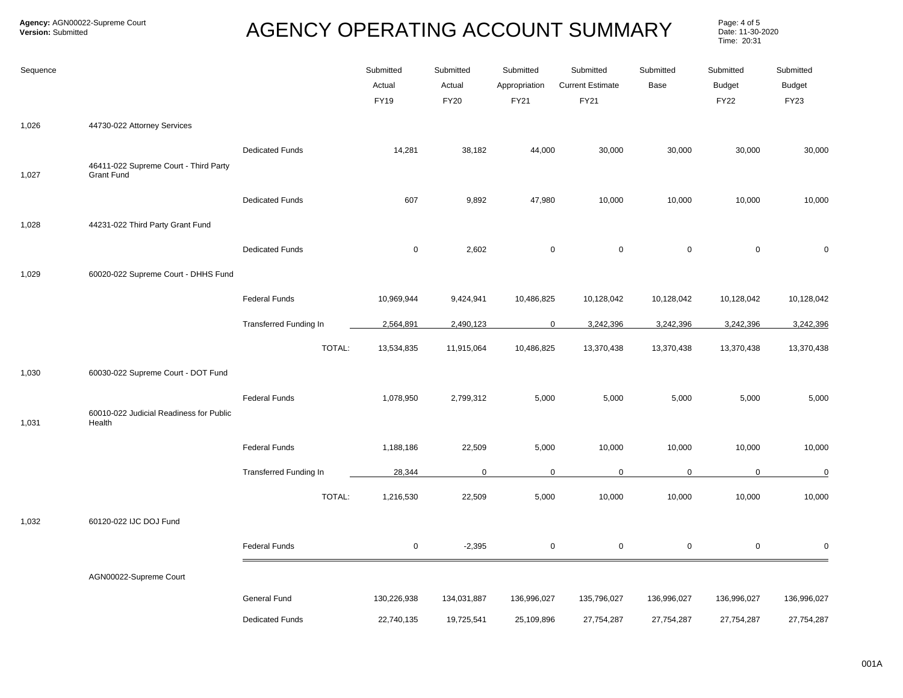Page: 4 of 5<br>Date: 11-30-2020 Time: 20:31

| Sequence |                                                            |                               | Submitted<br>Actual<br><b>FY19</b> | Submitted<br>Actual<br><b>FY20</b> | Submitted<br>Appropriation<br>FY21 | Submitted<br><b>Current Estimate</b><br>FY21 | Submitted<br>Base | Submitted<br><b>Budget</b><br><b>FY22</b> | Submitted<br><b>Budget</b><br><b>FY23</b> |
|----------|------------------------------------------------------------|-------------------------------|------------------------------------|------------------------------------|------------------------------------|----------------------------------------------|-------------------|-------------------------------------------|-------------------------------------------|
| 1,026    | 44730-022 Attorney Services                                |                               |                                    |                                    |                                    |                                              |                   |                                           |                                           |
| 1,027    | 46411-022 Supreme Court - Third Party<br><b>Grant Fund</b> | <b>Dedicated Funds</b>        | 14,281                             | 38,182                             | 44,000                             | 30,000                                       | 30,000            | 30,000                                    | 30,000                                    |
|          |                                                            | <b>Dedicated Funds</b>        | 607                                | 9,892                              | 47,980                             | 10,000                                       | 10,000            | 10,000                                    | 10,000                                    |
| 1,028    | 44231-022 Third Party Grant Fund                           |                               |                                    |                                    |                                    |                                              |                   |                                           |                                           |
|          |                                                            | <b>Dedicated Funds</b>        | $\mathbf 0$                        | 2,602                              | $\mathbf 0$                        | $\mathbf 0$                                  | $\mathsf 0$       | $\mathsf 0$                               | $\mathbf 0$                               |
| 1,029    | 60020-022 Supreme Court - DHHS Fund                        |                               |                                    |                                    |                                    |                                              |                   |                                           |                                           |
|          |                                                            | <b>Federal Funds</b>          | 10,969,944                         | 9,424,941                          | 10,486,825                         | 10,128,042                                   | 10,128,042        | 10,128,042                                | 10,128,042                                |
|          |                                                            | <b>Transferred Funding In</b> | 2,564,891                          | 2,490,123                          | $\mathbf 0$                        | 3,242,396                                    | 3,242,396         | 3,242,396                                 | 3,242,396                                 |
|          |                                                            | TOTAL:                        | 13,534,835                         | 11,915,064                         | 10,486,825                         | 13,370,438                                   | 13,370,438        | 13,370,438                                | 13,370,438                                |
| 1,030    | 60030-022 Supreme Court - DOT Fund                         |                               |                                    |                                    |                                    |                                              |                   |                                           |                                           |
| 1,031    | 60010-022 Judicial Readiness for Public<br>Health          | <b>Federal Funds</b>          | 1,078,950                          | 2,799,312                          | 5,000                              | 5,000                                        | 5,000             | 5,000                                     | 5,000                                     |
|          |                                                            | <b>Federal Funds</b>          | 1,188,186                          | 22,509                             | 5,000                              | 10,000                                       | 10,000            | 10,000                                    | 10,000                                    |
|          |                                                            | Transferred Funding In        | 28,344                             | $\mathbf 0$                        | 0                                  | $\mathbf 0$                                  | $\mathsf 0$       | $\mathbf 0$                               | $\overline{0}$                            |
|          |                                                            | TOTAL:                        | 1,216,530                          | 22,509                             | 5,000                              | 10,000                                       | 10,000            | 10,000                                    | 10,000                                    |
| 1,032    | 60120-022 IJC DOJ Fund                                     |                               |                                    |                                    |                                    |                                              |                   |                                           |                                           |
|          |                                                            | <b>Federal Funds</b>          | $\mathsf 0$                        | $-2,395$                           | 0                                  | $\mathsf 0$                                  | $\pmb{0}$         | $\pmb{0}$                                 | $\mathbf 0$                               |
|          | AGN00022-Supreme Court                                     |                               |                                    |                                    |                                    |                                              |                   |                                           |                                           |
|          |                                                            | General Fund                  | 130,226,938                        | 134,031,887                        | 136,996,027                        | 135,796,027                                  | 136,996,027       | 136,996,027                               | 136,996,027                               |
|          |                                                            | <b>Dedicated Funds</b>        | 22,740,135                         | 19,725,541                         | 25,109,896                         | 27,754,287                                   | 27,754,287        | 27,754,287                                | 27,754,287                                |